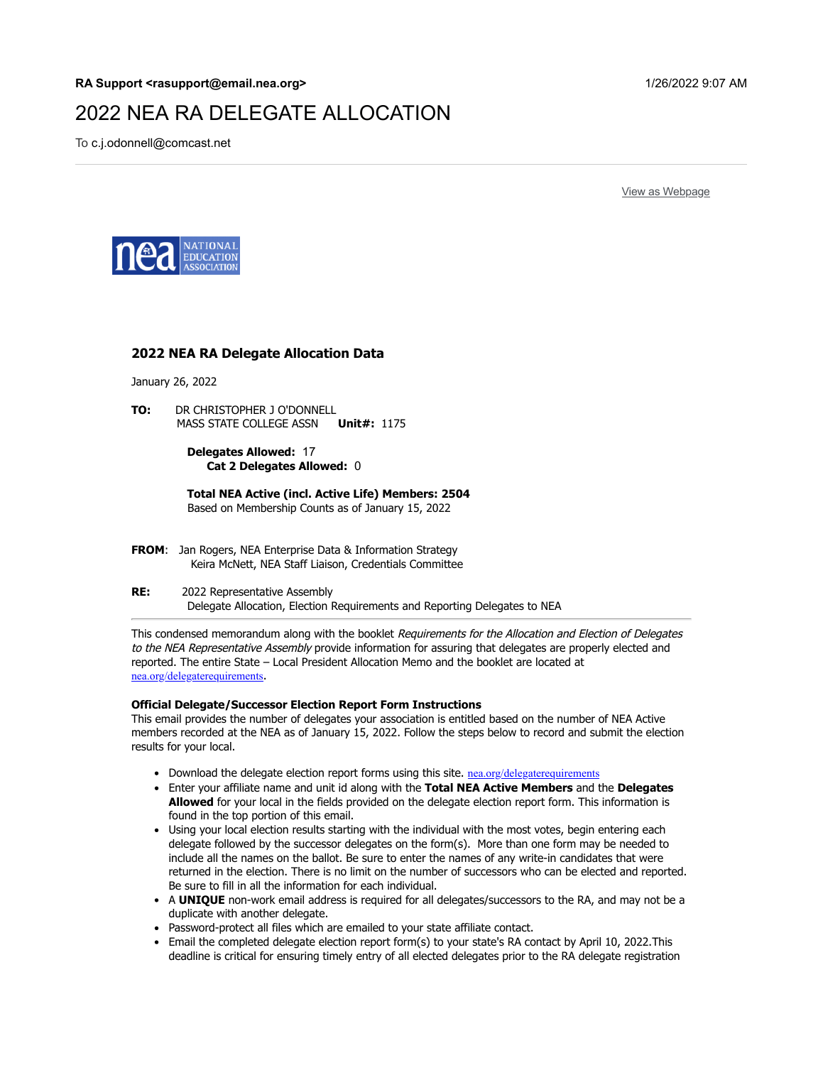## 2022 NEA RA DELEGATE ALLOCATION

To c.j.odonnell@comcast.net

View as [Webpage](https://view.email.nea.org/?qs=4dd266da9ab794014d2c4fc453ec37e9fefee7c07b525b052d5a4df2336903840f6d2f1dc5f0c340f1f16256d0b30d0104bc53f1472b5e4e3aea18da8a64e9d938590f5fc0f05f140f5f34880027ae1a)



## **2022 NEA RA Delegate Allocation Data**

January 26, 2022

**TO:** DR CHRISTOPHER J O'DONNELL MASS STATE COLLEGE ASSN **Unit#:** 1175

> **Delegates Allowed:** 17 **Cat 2 Delegates Allowed:** 0

**Total NEA Active (incl. Active Life) Members: 2504** Based on Membership Counts as of January 15, 2022

- **FROM**: Jan Rogers, NEA Enterprise Data & Information Strategy Keira McNett, NEA Staff Liaison, Credentials Committee
- **RE:** 2022 Representative Assembly Delegate Allocation, Election Requirements and Reporting Delegates to NEA

This condensed memorandum along with the booklet Requirements for the Allocation and Election of Delegates to the NEA Representative Assembly provide information for assuring that delegates are properly elected and reported. The entire State – Local President Allocation Memo and the booklet are located at [nea.org/delegaterequirements](https://click.email.nea.org/?qs=18cdc806ce6342f552a275ed862da9d6370ce6d6cbd0690d60b6e4d09c32dba79c76b18d33a79eafad7897279bca77075b23d52d86321ebe).

## **Official Delegate/Successor Election Report Form Instructions**

This email provides the number of delegates your association is entitled based on the number of NEA Active members recorded at the NEA as of January 15, 2022. Follow the steps below to record and submit the election results for your local.

- Download the delegate election report forms using this site. [nea.org/delegaterequirements](https://click.email.nea.org/?qs=18cdc806ce6342f552a275ed862da9d6370ce6d6cbd0690d60b6e4d09c32dba79c76b18d33a79eafad7897279bca77075b23d52d86321ebe)
- Enter your affiliate name and unit id along with the **Total NEA Active Members** and the **Delegates Allowed** for your local in the fields provided on the delegate election report form. This information is found in the top portion of this email.
- Using your local election results starting with the individual with the most votes, begin entering each delegate followed by the successor delegates on the form(s). More than one form may be needed to include all the names on the ballot. Be sure to enter the names of any write-in candidates that were returned in the election. There is no limit on the number of successors who can be elected and reported. Be sure to fill in all the information for each individual.
- A **UNIQUE** non-work email address is required for all delegates/successors to the RA, and may not be a duplicate with another delegate.
- Password-protect all files which are emailed to your state affiliate contact.
- Email the completed delegate election report form(s) to your state's RA contact by April 10, 2022.This deadline is critical for ensuring timely entry of all elected delegates prior to the RA delegate registration